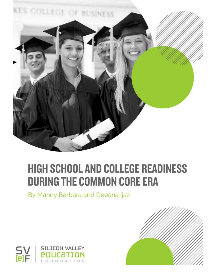

### **HIGH SCHOOL AND COLLEGE READINESS DURING THE COMMON CORE ERA**

By Manny Barbara and Deeana Ijaz



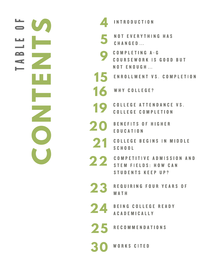|    | <b>INTRODUCTION</b>                                                                     |
|----|-----------------------------------------------------------------------------------------|
| 5  | <b>NOT EVERYTHING HAS</b><br>CHANGED                                                    |
|    | <b>COMPLETING A-G</b><br>COURSEWORK IS GOOD BUT<br><b>NOT ENOUGH</b>                    |
| 15 | <b>ENROLLMENT VS. COMPLETION</b>                                                        |
|    | 16 WHY COLLEGE?                                                                         |
| 19 | <b>COLLEGE ATTENDANCE VS.</b><br><b>COLLEGE COMPLETION</b>                              |
| 20 | <b>BENEFITS OF HIGHER</b><br>EDUCATION                                                  |
|    | 21 COLLEGE BEGINS IN MIDDLE<br><b>SCHOOL</b>                                            |
|    | 22 COMPETITIVE ADMISSION AND<br><b>STEM FIELDS: HOW CAN</b><br><b>STUDENTS KEEP UP?</b> |
| 23 | REQUIRING FOUR YEARS OF<br>MATH                                                         |
|    | 24 BEING COLLEGE READY<br><b>ACADEMICALLY</b>                                           |
|    | 25 RECOMMENDATIONS                                                                      |
|    | <b>30 WORKS CITED</b>                                                                   |

**CONTENTS**

 $\overline{\phantom{a}}$ 

U

F

ш

صدا

 $\ddot{=}$ 

Щ

 $\bullet$ 

 $\blacksquare$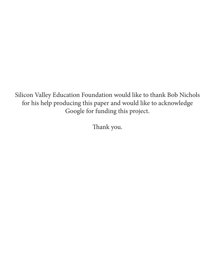Silicon Valley Education Foundation would like to thank Bob Nichols for his help producing this paper and would like to acknowledge Google for funding this project.

Thank you.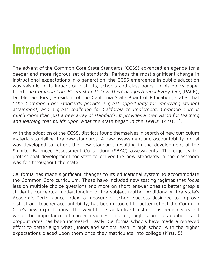## **Introduction**

The advent of the Common Core State Standards (CCSS) advanced an agenda for a deeper and more rigorous set of standards. Perhaps the most significant change in instructional expectations in a generation, the CCSS emergence in public education was seismic in its impact on districts, schools and classrooms. In his policy paper titled The Common Core Meets State Policy: This Changes Almost Everything (PACE), Dr. Michael Kirst, President of the California State Board of Education, states that "The Common Core standards provide a great opportunity for improving student attainment, and a great challenge for California to implement. Common Core is much more than just a new array of standards. It provides a new vision for teaching and learning that builds upon what the state began in the 1990s" (Kirst, 1).

With the adoption of the CCSS, districts found themselves in search of new curriculum materials to deliver the new standards. A new assessment and accountability model was developed to reflect the new standards resulting in the development of the Smarter Balanced Assessment Consortium (SBAC) assessments. The urgency for professional development for staff to deliver the new standards in the classroom was felt throughout the state.

California has made significant changes to its educational system to accommodate the Common Core curriculum. These have included new testing regimes that focus less on multiple choice questions and more on short-answer ones to better grasp a student's conceptual understanding of the subject matter. Additionally, the state's Academic Performance Index, a measure of school success designed to improve district and teacher accountability, has been retooled to better reflect the Common Core's new expectations. The weight of standardized testing has been decreased while the importance of career readiness indices, high school graduation, and dropout rates has been increased. Lastly, California schools have made a renewed effort to better align what juniors and seniors learn in high school with the higher expectations placed upon them once they matriculate into college (Kirst, 5).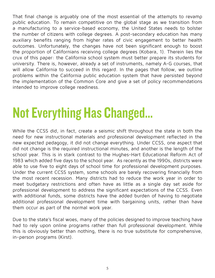That final change is arguably one of the most essential of the attempts to revamp public education. To remain competitive on the global stage as we transition from a manufacturing to a service-based economy, the United States needs to bolster the number of citizens with college degrees. A post-secondary education has many auxiliary benefits ranging from higher rates of civic engagement to better health outcomes. Unfortunately, the changes have not been significant enough to boost the proportion of Californians receiving college degrees (Kobara, 1). Therein lies the crux of this paper: the California school system must better prepare its students for university. There is, however, already a set of instruments, namely A-G courses, that will allow California to succeed in this regard. In the pages that follow, we outline problems within the California public education system that have persisted beyond the implementation of the Common Core and give a set of policy recommendations intended to improve college readiness.

## Not Everything Has Changed…

While the CCSS did, in fact, create a seismic shift throughout the state in both the need for new instructional materials and professional development reflected in the new expected pedagogy, it did not change everything. Under CCSS, one aspect that did not change is the required instructional minutes, and another is the length of the school year. This is in stark contrast to the Hughes-Hart Educational Reform Act of 1983 which added five days to the school year. As recently as the 1990s, districts were able to use five to eight days of school time for professional development purposes. Under the current CCSS system, some schools are barely recovering financially from the most recent recession. Many districts had to reduce the work year in order to meet budgetary restrictions and often have as little as a single day set aside for professional development to address the significant expectations of the CCSS. Even with additional funds, some districts have the added burden of having to negotiate additional professional development time with bargaining units, rather than have them occur as part of the normal work year.

Due to the state's fiscal woes, many of the policies designed to improve teaching have had to rely upon online programs rather than full professional development. While this is obviously better than nothing, there is no true substitute for comprehensive, in-person programs (Kirst).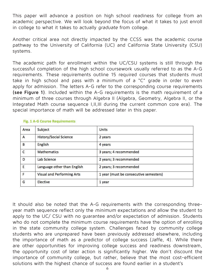This paper will advance a position on high school readiness for college from an academic perspective. We will look beyond the focus of what it takes to just enroll in college to what it takes to actually graduate from college.

Another critical area not directly impacted by the CCSS was the academic course pathway to the University of California (UC) and California State University (CSU) systems.

The academic path for enrollment within the UC/CSU systems is still through the successful completion of the high school coursework usually referred to as the A-G requirements. These requirements outline 15 required courses that students must take in high school and pass with a minimum of a "C" grade in order to even apply for admission. The letters A-G refer to the corresponding course requirements **(see Figure 1)**. Included within the A-G requirements is the math requirement of a minimum of three courses through Algebra II (Algebra, Geometry, Algebra II, or the Integrated Math course sequence I,II,III during the current common core era). The special importance of math will be addressed later in this paper.

| Area | Subject                           | Units                                  |
|------|-----------------------------------|----------------------------------------|
| A    | <b>History/Social Science</b>     | 2 years                                |
| B    | English                           | 4 years                                |
| С    | <b>Mathematics</b>                | 3 years; 4 recommended                 |
| D    | Lab Science                       | 2 years; 3 recommended                 |
| E    | Language other than English       | 2 years; 3 recommended                 |
| F    | <b>Visual and Performing Arts</b> | 1 year (must be consecutive semesters) |
| G    | Elective                          | 1 year                                 |

#### Fig. 1 A-G Course Requirements

It should also be noted that the A-G requirements with the corresponding threeyear math sequence reflect only the minimum expectations and allow the student to apply to the UC/ CSU with no guarantee and/or expectation of admission. Students who do not complete the minimum course requirements have the option of enrolling in the state community college system. Challenges faced by community college students who are unprepared have been previously addressed elsewhere, including the importance of math as a predictor of college success (Jaffe, 4). While there are other opportunities for improving college success and readiness downstream, the opportunity cost of later action is significantly higher. We don't discount the importance of community college, but rather, believe that the most cost-efficient solutions with the highest chance of success are found earlier in a student's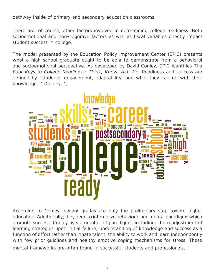pathway inside of primary and secondary education classrooms.

There are, of course, other factors involved in determining college readiness. Both socioemotional and non-cognitive factors as well as fiscal variables directly impact student success in college.

The model presented by the Education Policy Improvement Center (EPIC) presents what a high school graduate ought to be able to demonstrate from a behavioral and socioemotional perspective. As developed by David Conley, EPIC identifies The Four Keys to College Readiness: Think, Know, Act, Go. Readiness and success are defined by "students' engagement, adaptability, and what they can do with their knowledge…" (Conley, 1)



According to Conley, decent grades are only the preliminary step toward higher education. Additionally, they need to internalize behavioral and mental paradigms which promote success. Conley lists a number of paradigms, including: the readjustment of learning strategies upon initial failure, understanding of knowledge and success as a function of effort rather than innate talent, the ability to work and learn independently with few prior quidlines and healthy emotive coping mechanisms for stress. These mental frameworks are often found in successful students and professionals.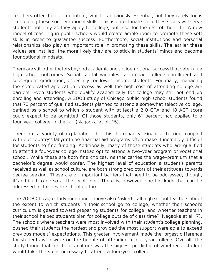Teachers often focus on content, which is obviously essential, but they rarely focus on building these socioemotional skills. This is unfortunate since these skills will serve students not only as they apply to college, but also for the rest of their life. A new model of teaching in public schools would create ample room to promote these soft skills in order to guarantee success. Furthermore, social institutions and personal relationships also play an important role in promoting these skills. The earlier these values are instilled, the more likely they are to stick in students' minds and become foundational mindsets.

There are still other factors beyond academic and socioemotional success that determine high school outcomes. Social capital variables can impact college enrollment and subsequent graduation, especially for lower income students. For many, managing the complicated application process as well the high cost of attending college are barriers. Even students who qualify academically for college may still not end up enrolling and attending. A 2008 study of Chicago public high school students found that 73 percent of qualified students planned to attend a somewhat selective college, defined as a school to which a student with at least a 2.0 GPA and 18 ACT score could expect to be admitted. Of those students, only 61 percent had applied to a four-year college in the fall (Nagaoka et al. 15).

There are a variety of explanations for this discrepancy. Financial barriers coupled with our country's labyrinthine financial aid programs often make it incredibly difficult for students to find funding. Additionally, many of those students who are qualified to attend a four-year college instead opt to attend a two-year program or vocational school. While these are both fine choices, neither carries the wage-premium that a bachelor's degree would confer. The highest level of education a student's parents received as well as school culture, are both strong predictors of their attitudes towards degree seeking. These are all important barriers that need to be addressed, though, it's difficult to do so at the local level. There is, however, one blockade that can be addressed at this level: school culture.

The 2008 Chicago study mentioned above also "asked… all high school teachers about the extent to which students in their school go to college, whether their school's curriculum is geared toward preparing students for college, and whether teachers in their school helped students plan for college outside of class time" (Nagaoka et al 17). The schools where teachers were most involved with their student's college planning, pushed their students the hardest and provided the most support were able to exceed previous models' expectations. This greater involvement made the largest difference for students who were on the bubble of attending a four-year college. Overall, the study found that a school's culture was the biggest predictor of whether a student would take the steps necessary to attend a four-year college.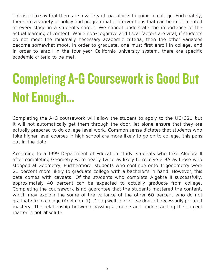This is all to say that there are a variety of roadblocks to going to college. Fortunately, there are a variety of policy and programmatic interventions that can be implemented at every stage in a student's career. We cannot understate the importance of the actual learning of content. While non-cognitive and fiscal factors are vital, if students do not meet the minimally necessary academic criteria, then the other variables become somewhat moot. In order to graduate, one must first enroll in college, and in order to enroll in the four-year California university system, there are specific academic criteria to be met.

## Completing A-G Coursework is Good But Not Enough…

Completing the A-G coursework will allow the student to apply to the UC/CSU but it will not automatically get them through the door, let alone ensure that they are actually prepared to do college level work. Common sense dictates that students who take higher level courses in high school are more likely to go on to college; this pans out in the data.

According to a 1999 Department of Education study, students who take Algebra II after completing Geometry were nearly twice as likely to receive a BA as those who stopped at Geometry. Furthermore, students who continue onto Trigonometry were 20 percent more likely to graduate college with a bachelor's in hand. However, this data comes with caveats. Of the students who complete Algebra II successfully, approximately 40 percent can be expected to actually graduate from college. Completing the coursework is no guarantee that the students mastered the content, which may explain the some of the variance of the other 60 percent who do not graduate from college (Adelman, 7). Doing well in a course doesn't necessarily portend mastery. The relationship between passing a course and understanding the subject matter is not absolute.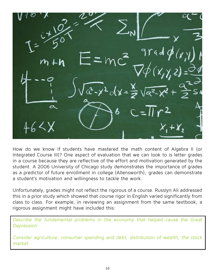$+X.$ 

How do we know if students have mastered the math content of Algebra II (or Integrated Course III)? One aspect of evaluation that we can look to is letter grades in a course because they are reflective of the effort and motivation generated by the student. A 2006 University of Chicago study demonstrates the importance of grades as a predictor of future enrollment in college (Allensworth); grades can demonstrate a student's motivation and willingness to tackle the work.

Unfortunately, grades might not reflect the rigorous of a course. Russlyn Ali addressed this in a prior study which showed that course rigor in English varied significantly from class to class. For example, in reviewing an assignment from the same textbook, a rigorous assignment might have included this:

Describe the fundamental problems in the economy that helped cause the Great Depression.

Consider agriculture, consumer spending and debt, distribution of wealth, the stock market.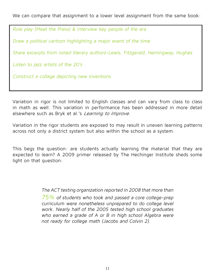We can compare that assignment to a lower level assignment from the same book:

Role play (Meet the Press) & interview key people of the era

Draw a political cartoon highlighting a major event of the time

Share excerpts from noted literary authors-Lewis, Fitzgerald, Hemingway, Hughes

Listen to jazz artists of the 20's

Construct a collage depicting new inventions

Variation in rigor is not limited to English classes and can vary from class to class in math as well. This variation in performance has been addressed in more detail elsewhere such as Bryk et al.'s *Learning to Improve*.

Variation in the rigor students are exposed to may result in uneven learning patterns across not only a district system but also within the school as a system.

This begs the question: are students actually learning the material that they are expected to learn? A 2009 primer released by The Hechinger Institute sheds some light on that question:

> The ACT testing organization reported in 2008 that more than 75% of students who took and passed a core college-prep curriculum were nonetheless unprepared to do college level work. Nearly half of the 2005 tested high school graduates who earned a grade of A or B in high school Algebra were not ready for college math (Jacobs and Colvin 2).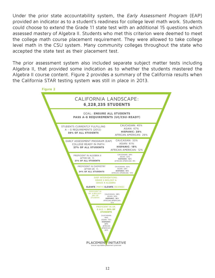Under the prior state accountability system, the Early Assessment Program (EAP) provided an indicator as to a student's readiness for college level math work. Students could choose to extend the Grade 11 state test with an additional 15 questions which assessed mastery of Algebra II. Students who met this criterion were deemed to meet the college math course placement requirement. They were allowed to take college level math in the CSU system. Many community colleges throughout the state who accepted the state test as their placement test.

The prior assessment system also included separate subject matter tests including Algebra II, that provided some indication as to whether the students mastered the Algebra II course content. Figure 2 provides a summary of the California results when the California STAR testing system was still in place in 2013.

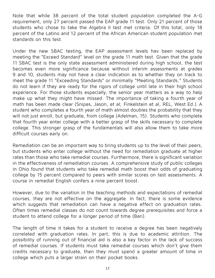Note that while 38 percent of the total student population completed the A-G requirement, only 27 percent passed the EAP grade 11 test. Only 21 percent of those students who chose to take the Algebra II test met criteria. Of this total, only 18 percent of the Latino and 12 percent of the African American student population met standards on this test.

Under the new SBAC testing, the EAP assessment levels hav been replaced by meeting the "Exceed Standard" level on the grade 11 math test. Given that the grade 11 SBAC test is the only state assessment administered during high school, the test becomes even more significance because without interim assessments at grades 9 and 10, students may not have a clear indication as to whether they on track to meet the grade 11 "Exceeding Standards" or minimally "Meeting Standards." Students do not learn if they are ready for the rigors of college until late in their high school experience. For those students especially, the senior year matters as a way to help make up what they might have missed. The importance of taking a fourth year of math has been made clear (Snipes, Jason, et al; Finkelstein et al, REL, West Ed.). A student who completes a fourth year of math almost doubles the probability that they will not just enroll, but graduate, from college (Adelman, 15). Students who complete that fourth year enter college with a better grasp of the skills necessary to complete college. This stronger grasp of the fundamentals will also allow them to take more difficult courses early on.

Remediation can be an important way to bring students up to the level of their peers, but students who enter college without the need for remediation graduate at higher rates than those who take remedial courses. Furthermore, there is significant variation in the effectiveness of remediation courses. A comprehensive study of public colleges in Ohio found that students who take remedial math boost their odds of graduating college by 15 percent compared to peers with similar scores on test assessments. A course in remedial English confers a nine percent boost.

However, due to the variation in the teaching methods and expectations of remedial courses, they are not effective on the aggregate. In fact, there is some evidence which suggests that remediation can have a negative effect on graduation rates. Often times remedial classes do not count towards degree prerequisites and force a student to attend college for a longer period of time (Bari).

The length of time it takes for a student to receive a degree has been negatively correlated with graduation rates. In part, this is due to academic attrition. The possibility of running out of financial aid is also a key factor in the lack of success of remedial courses. If students must take remedial courses which don't give them credits necessary to graduate, then they must spend a greater amount of time in college which puts a larger strain on their pocket books.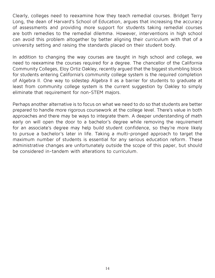Clearly, colleges need to reexamine how they teach remedial courses. Bridget Terry Long, the dean of Harvard's School of Education, argues that increasing the accuracy of assessments and providing more support for students taking remedial courses are both remedies to the remedial dilemma. However, interventions in high school can avoid this problem altogether by better aligning their curriculum with that of a university setting and raising the standards placed on their student body.

In addition to changing the way courses are taught in high school and college, we need to reexamine the courses required for a degree. The chancellor of the California Community Colleges, Eloy Ortiz Oakley, recently argued that the biggest stumbling block for students entering California's community college system is the required completion of Algebra II. One way to sidestep Algebra II as a barrier for students to graduate at least from community college system is the current suggestion by Oakley to simply eliminate that requirement for non-STEM majors.

Perhaps another alternative is to focus on what we need to do so that students are better prepared to handle more rigorous coursework at the college level. There's value in both approaches and there may be ways to integrate them. A deeper understanding of math early on will open the door to a bachelor's degree while removing the requirement for an associate's degree may help build student confidence, so they're more likely to pursue a bachelor's later in life. Taking a multi-pronged approach to target the maximum number of students is essential for any serious education reform. These administrative changes are unfortunately outside the scope of this paper, but should be considered in-tandem with alterations to curriculum.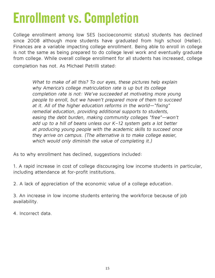## Enrollment vs. Completion

College enrollment among low SES (socioeconomic status) students has declined since 2008 although more students have graduated from high school (Heller). Finances are a variable impacting college enrollment. Being able to enroll in college is not the same as being prepared to do college level work and eventually graduate from college. While overall college enrollment for all students has increased, college completion has not. As Michael Petrilli stated:

> What to make of all this? To our eyes, these pictures help explain why America's college matriculation rate is up but its college completion rate is not: We've succeeded at motivating more young people to enroll, but we haven't prepared more of them to succeed at it. All of the higher education reforms in the world—"fixing" remedial education, providing additional supports to students, easing the debt burden, making community colleges "free"—won't add up to a hill of beans unless our K–12 system gets a lot better at producing young people with the academic skills to succeed once they arrive on campus. (The alternative is to make college easier, which would only diminish the value of completing it.)

As to why enrollment has declined, suggestions included:

1. A rapid increase in cost of college discouraging low income students in particular, including attendance at for-profit institutions.

2. A lack of appreciation of the economic value of a college education.

3. An increase in low income students entering the workforce because of job availability.

4. Incorrect data.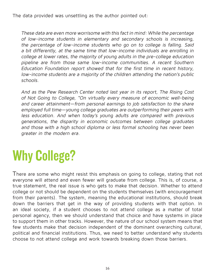The data provided was unsettling as the author pointed out:

These data are even more worrisome with this fact in mind: While the percentage of low-income students in elementary and secondary schools is increasing, the percentage of low-income students who go on to college is falling. Said a bit differently, at the same time that low-income individuals are enrolling in college at lower rates, the majority of young adults in the pre-college education pipeline are from those same low-income communities. A recent Southern Education Foundation report showed that for the first time in recent history, low-income students are a majority of the children attending the nation's public schools.

And as the Pew Research Center noted last year in its report, The Rising Cost of Not Going to College, "On virtually every measure of economic well-being and career attainment—from personal earnings to job satisfaction to the share employed full time—young college graduates are outperforming their peers with less education. And when today's young adults are compared with previous generations, the disparity in economic outcomes between college graduates and those with a high school diploma or less formal schooling has never been greater in the modern era.

## Why College?

There are some who might resist this emphasis on going to college, stating that not everyone will attend and even fewer will graduate from college. This is, of course, a true statement, the real issue is who gets to make that decision. Whether to attend college or not should be dependent on the students themselves (with encouragement from their parents). The system, meaning the educational institutions, should break down the barriers that get in the way of providing students with that option. In an ideal society, if a student chooses to not attend college as a matter of total personal agency, then we should understand that choice and have systems in place to support them in other tracks. However, the nature of our school system means that few students make that decision independent of the dominant overarching cultural, political and financial institutions. Thus, we need to better understand why students choose to not attend college and work towards breaking down those barriers.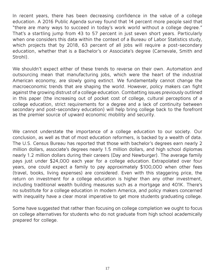In recent years, there has been decreasing confidence in the value of a college education. A 2016 Public Agenda survey found that 14 percent more people said that "there are many ways to succeed in today's work world without a college degree." That's a startling jump from 43 to 57 percent in just seven short years. Particularly when one considers this data within the context of a Bureau of Labor Statistics study, which projects that by 2018, 63 percent of all jobs will require a post-secondary education, whether that is a Bachelor's or Associate's degree (Carnevale, Smith and Strohl).

We shouldn't expect either of these trends to reverse on their own. Automation and outsourcing mean that manufacturing jobs, which were the heart of the industrial American economy, are slowly going extinct. We fundamentally cannot change the macroeconomic trends that are shaping the world. However, policy makers can fight against the growing distrust of a college education. Combatting issues previously outlined in this paper (the increasing out of pocket cost of college, cultural perceptions of a college education, strict requirements for a degree and a lack of continuity between secondary and post-secondary education) will help bring college back to the forefront as the premier source of upward economic mobility and security.

We cannot understate the importance of a college education to our society. Our conclusion, as well as that of most education reformers, is backed by a wealth of data. The U.S. Census Bureau has reported that those with bachelor's degrees earn nearly 2 million dollars, associate's degrees nearly 1.5 million dollars, and high school diplomas nearly 1.2 million dollars during their careers (Day and Newburger). The average family pays just under \$24,000 each year for a college education. Extrapolated over four years, one could expect a family to pay approximately \$100,000 when other fees (travel, books, living expenses) are considered. Even with this staggering price, the return on investment for a college education is higher than any other investment, including traditional wealth building measures such as a mortgage and 401K. There's no substitute for a college education in modern America, and policy makers concerned with inequality have a clear moral imperative to get more students graduating college.

Some have suggested that rather than focusing on college completion we ought to focus on college alternatives for students who do not graduate from high school academically prepared for college.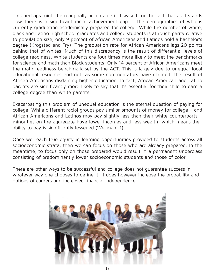This perhaps might be marginally acceptable if it wasn't for the fact that as it stands now there is a significant racial achievement gap in the demographics of who is currently graduating academically prepared for college. While the number of white, black and Latino high school graduates and college students is at rough parity relative to population size, only 9 percent of African Americans and Latinos hold a bachelor's degree (Krogstad and Fry). The graduation rate for African Americans lags 20 points behind that of whites. Much of this discrepancy is the result of differential levels of college readiness. White students are four times more likely to meet the benchmarks for science and math than Black students. Only 14 percent of African Americans meet the math readiness benchmark set by the ACT. This is largely due to unequal local educational resources and not, as some commentators have claimed, the result of African Americans disdaining higher education. In fact, African American and Latino parents are significantly more likely to say that it's essential for their child to earn a college degree than white parents.

Exacerbating this problem of unequal education is the eternal question of paying for college. While different racial groups pay similar amounts of money for college – and African Americans and Latinos may pay slightly less than their white counterparts – minorities on the aggregate have lower incomes and less wealth, which means their ability to pay is significantly lessened (Wellman, 1).

Once we reach true equity in learning opportunities provided to students across all socioeconomic strata, then we can focus on those who are already prepared. In the meantime, to focus only on those prepared would result in a permanent underclass consisting of predominantly lower socioeconomic students and those of color.

There are other ways to be successful and college does not guarantee success in whatever way one chooses to define it. It does however increase the probability and options of careers and increased financial independence.

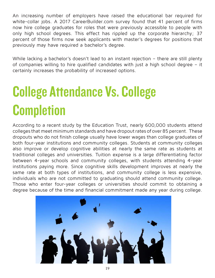An increasing number of employers have raised the educational bar required for white-collar jobs. A 2017 CareerBuilder.com survey found that 41 percent of firms now hire college graduates for roles that were previously accessible to people with only high school degrees. This effect has rippled up the corporate hierarchy; 37 percent of those firms now seek applicants with master's degrees for positions that previously may have required a bachelor's degree.

While lacking a bachelor's doesn't lead to an instant rejection – there are still plenty of companies willing to hire qualified candidates with just a high school degree – it certainly increases the probability of increased options.

## College Attendance Vs. College **Completion**

According to a recent study by the Education Trust, nearly 600,000 students attend colleges that meet minimum standards and have dropout rates of over 85 percent. These dropouts who do not finish college usually have lower wages than college graduates of both four-year institutions and community colleges. Students at community colleges also improve or develop cognitive abilities at nearly the same rate as students at traditional colleges and universities. Tuition expense is a large differentiating factor between 4-year schools and community colleges, with students attending 4-year institutions paying more. Since cognitive skills development improves at nearly the same rate at both types of institutions, and community college is less expensive, individuals who are not committed to graduating should attend community college. Those who enter four-year colleges or universities should commit to obtaining a degree because of the time and financial commitment made any year during college.

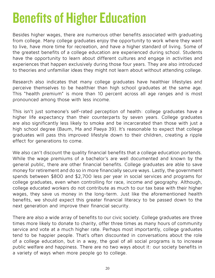## Benefits of Higher Education

Besides higher wages, there are numerous other benefits associated with graduating from college. Many college graduates enjoy the opportunity to work where they want to live, have more time for recreation, and have a higher standard of living. Some of the greatest benefits of a college education are experienced during school. Students have the opportunity to learn about different cultures and engage in activities and experiences that happen exclusively during those four years. They are also introduced to theories and unfamiliar ideas they might not learn about without attending college.

Research also indicates that many college graduates have healthier lifestyles and perceive themselves to be healthier than high school graduates at the same age. This "health premium" is more than 10 percent across all age ranges and is most pronounced among those with less income.

This isn't just someone's self-rated perception of health: college graduates have a higher life expectancy than their counterparts by seven years. College graduates are also significantly less likely to smoke and be incarcerated than those with just a high school degree (Baum, Ma and Paeya 39). It's reasonable to expect that college graduates will pass this improved lifestyle down to their children, creating a ripple effect for generations to come.

We also can't discount the quality financial benefits that a college education portends. While the wage premiums of a bachelor's are well documented and known by the general public, there are other financial benefits. College graduates are able to save money for retirement and do so in more financially secure ways. Lastly, the government spends between \$800 and \$2,700 less per year in social services and programs for college graduates, even when controlling for race, income and geography. Although, college educated workers do not contribute as much to our tax base with their higher wages, they save us money in the long-term. Just like the aforementioned health benefits, we should expect this greater financial literacy to be passed down to the next generation and improve their financial security.

There are also a wide array of benefits to our civic society. College graduates are three times more likely to donate to charity, offer three times as many hours of community service and vote at a much higher rate. Perhaps most importantly, college graduates tend to be happier people. That's often discounted in conversations about the role of a college education, but in a way, the goal of all social programs is to increase public welfare and happiness. There are no two ways about it: our society benefits in a variety of ways when more people go to college.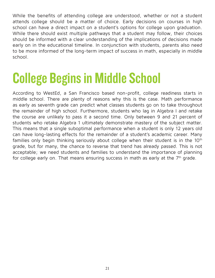While the benefits of attending college are understood, whether or not a student attends college should be a matter of choice. Early decisions on courses in high school can have a direct impact on a student's options for college upon graduation. While there should exist multiple pathways that a student may follow, their choices should be informed with a clear understanding of the implications of decisions made early on in the educational timeline. In conjunction with students, parents also need to be more informed of the long-term impact of success in math, especially in middle school.

## College Begins in Middle School

According to WestEd, a San Francisco based non-profit, college readiness starts in middle school. There are plenty of reasons why this is the case. Math performance as early as seventh grade can predict what classes students go on to take throughout the remainder of high school. Furthermore, students who lag in Algebra I and retake the course are unlikely to pass it a second time. Only between 9 and 21 percent of students who retake Algebra 1 ultimately demonstrate mastery of the subject matter. This means that a single suboptimal performance when a student is only 12 years old can have long-lasting effects for the remainder of a student's academic career. Many families only begin thinking seriously about college when their student is in the 10<sup>th</sup> grade, but for many, the chance to reverse that trend has already passed. This is not acceptable; we need students and families to understand the importance of planning for college early on. That means ensuring success in math as early at the 7<sup>th</sup> grade.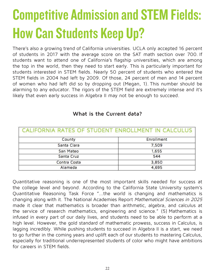## Competitive Admission and STEM Fields: How Can Students Keep Up?

There's also a growing trend of California universities. UCLA only accepted 16 percent of students in 2017 with the average score on the SAT math section over 700. If students want to attend one of California's flagship universities, which are among the top in the world, then they need to start early. This is particularly important for students interested in STEM fields. Nearly 50 percent of students who entered the STEM fields in 2004 had left by 2009. Of those, 24 percent of men and 14 percent of women who had left did so by dropping out (Megan, 1). This number should be alarming to any educator. The rigors of the STEM field are extremely intense and it's likely that even early success in Algebra II may not be enough to succeed.

| CALIFORNIA RATES OF STUDENT ENROLLMENT IN CALCULUS |            |  |
|----------------------------------------------------|------------|--|
| County                                             | Enrollment |  |
| Santa Clara                                        | 7,509      |  |
| San Mateo                                          | 1,655      |  |
| Santa Cruz                                         | 544        |  |
| Contra Costa                                       | 3,850      |  |
| Alameda                                            | 4,695      |  |

### **What is the Current data?**

Quantitative reasoning is one of the most important skills needed for success at the college level and beyond. According to the California State University system's Quantitative Reasoning Task Force "...the world is changing and mathematics is changing along with it. The National Academies Report Mathematical Sciences in 2025 made it clear that mathematics is broader than arithmetic, algebra, and calculus at the service of research mathematics, engineering and science." (5) Mathematics is infused in every part of our daily lives, and students need to be able to perform at a high level. However, the gold standard of mathematic prowess, success in Calculus, is lagging incredibly. While pushing students to succeed in Algebra II is a start, we need to go further in the coming years and uplift each of our students to mastering Calculus, especially for traditional underrepresented students of color who might have ambitions for careers in STEM fields.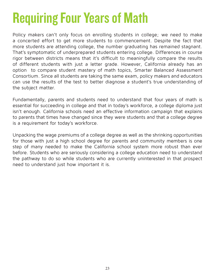## Requiring Four Years of Math

Policy makers can't only focus on enrolling students in college; we need to make a concerted effort to get more students to commencement. Despite the fact that more students are attending college, the number graduating has remained stagnant. That's symptomatic of underprepared students entering college. Differences in course rigor between districts means that it's difficult to meaningfully compare the results of different students with just a letter grade. However, California already has an option to compare student mastery of math topics, Smarter Balanced Assessment Consortium. Since all students are taking the same exam, policy makers and educators can use the results of the test to better diagnose a student's true understanding of the subject matter.

Fundamentally, parents and students need to understand that four years of math is essential for succeeding in college and that in today's workforce, a college diploma just isn't enough. California schools need an effective information campaign that explains to parents that times have changed since they were students and that a college degree is a requirement for today's workforce.

Unpacking the wage premiums of a college degree as well as the shrinking opportunities for those with just a high school degree for parents and community members is one step of many needed to make the California school system more robust than ever before. Students who are seriously considering a college education need to understand the pathway to do so while students who are currently uninterested in that prospect need to understand just how important it is.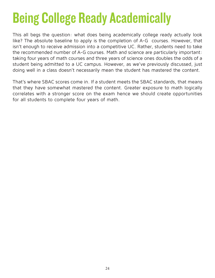## Being College Ready Academically

This all begs the question: what does being academically college ready actually look like? The absolute baseline to apply is the completion of A-G courses. However, that isn't enough to receive admission into a competitive UC. Rather, students need to take the recommended number of A-G courses. Math and science are particularly important: taking four years of math courses and three years of science ones doubles the odds of a student being admitted to a UC campus. However, as we've previously discussed, just doing well in a class doesn't necessarily mean the student has mastered the content.

That's where SBAC scores come in. If a student meets the SBAC standards, that means that they have somewhat mastered the content. Greater exposure to math logically correlates with a stronger score on the exam hence we should create opportunities for all students to complete four years of math.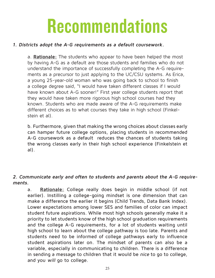# Recommendations

#### **1. Districts adopt the A-G requirements as a default coursework.**

a. **Rationale:** The students who appear to have been helped the most by having A-G as a default are those students and families who do not understand the importance of successfully completing the A-G requirements as a precursor to just applying to the UC/CSU systems. As Erica, a young 25-year-old woman who was going back to school to finish a college degree said, "I would have taken different classes if I would have known about A-G sooner!" First year college students report that they would have taken more rigorous high school courses had they known. Students who are made aware of the A-G requirements make different choices as to what courses they take in high school (Finkelstein et al).

b. Furthermore, given that making the wrong choices about classes early can hamper future college options, placing students in recommended A-G coursework as a default reduces the chances of students taking the wrong classes early in their high school experience (Finkelstein et al).

### **2. Communicate early and often to students and parents about the A-G requirements.**

a. **Rationale:** College really does begin in middle school (if not earlier). Instilling a college-going mindset is one dimension that can make a difference the earlier it begins (Child Trends, Data Bank Index). Lower expectations among lower SES and families of color can impact student future aspirations. While most high schools generally make it a priority to let students know of the high school graduation requirements and the college A-G requirements, for a lot of students waiting until high school to learn about the college pathway is too late. Parents and students need to be informed of college pathways early to influence student aspirations later on. The mindset of parents can also be a variable, especially in communicating to children. There is a difference in sending a message to children that it would be nice to go to college, and you will go to college.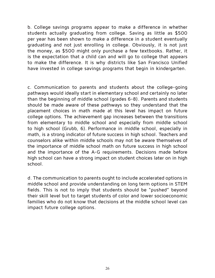b. College savings programs appear to make a difference in whether students actually graduating from college. Saving as little as \$500 per year has been shown to make a difference in a student eventually graduating and not just enrolling in college. Obviously, it is not just the money, as \$500 might only purchase a few textbooks. Rather, it is the expectation that a child can and will go to college that appears to make the difference. It is why districts like San Francisco Unified have invested in college savings programs that begin in kindergarten.

c. Communication to parents and students about the college-going pathways would ideally start in elementary school and certainly no later than the beginning of middle school (grades 6-8). Parents and students should be made aware of these pathways so they understand that the placement choices in math made at this level has impact on future college options. The achievement gap increases between the transitions from elementary to middle school and especially from middle school to high school (Grubb, 6). Performance in middle school, especially in math, is a strong indicator of future success in high school. Teachers and counselors alike within middle schools may not be aware themselves of the importance of middle school math on future success in high school and the importance of the A-G requirements. Decisions made before high school can have a strong impact on student choices later on in high school.

d. The communication to parents ought to include accelerated options in middle school and provide understanding on long term options in STEM fields. This is not to imply that students should be "pushed" beyond their skill level but to target students of color and lower socioeconomic families who do not know that decisions at the middle school level can impact future college options.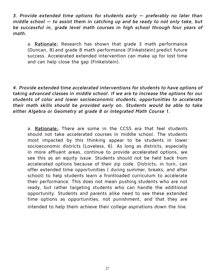**3. Provide extended time options for students early — preferably no later than middle school — to assist them in catching up and be ready to not only take, but be successful in, grade level math courses in high school through four years of math.**

a. **Rationale:** Research has shown that grade 3 math performance (Duncan, 8) and grade 8 math performance (Finkelstein) predict future success. Accelerated extended intervention can make up for lost time and can help close the gap (Finkelstein).

**4. Provide extended time accelerated interventions for students to have options of taking advanced classes in middle school. If we are to increase the options for our students of color and lower socioeconomic students, opportunities to accelerate their math skills should be provided early on. Students would be able to take either Algebra or Geometry at grade 8 or Integrated Math Course 1.**

a. **Rationale:** There are some in the CCSS era that feel students should not take accelerated courses in middle school. The students most impacted by this thinking appear to be students in lower socioeconomic districts (Loveless, 6). As long as districts, especially in more affluent areas, continue to provide accelerated options, we see this as an equity issue. Students should not be held back from accelerated options because of their zip code. Districts, in turn, can offer extended time opportunities ( during summer, breaks, and after school) to help students learn a frontloaded curriculum to accelerate their performance. This does not mean pushing students who are not ready, but rather targeting students who can handle the additional opportunity. Students and parents alike need to see these extended time options as opportunities, not punishment, and that they are intended to help them achieve their college aspirations down the line.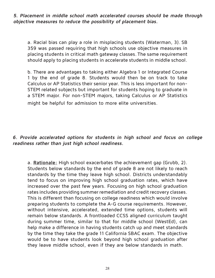**5. Placement in middle school math accelerated courses should be made through objective measures to reduce the possibility of placement bias.**

a. Racial bias can play a role in misplacing students (Waterman, 3). SB 359 was passed requiring that high schools use objective measures in placing students in critical math gateway classes.The same requirement should apply to placing students in accelerate students in middle school.

b. There are advantages to taking either Algebra 1 or Integrated Course 1 by the end of grade 8. Students would then be on track to take Calculus or AP Statistics their senior year. This is less important for non-STEM related subjects but important for students hoping to graduate in a STEM major. For non-STEM majors, taking Calculus or AP Statistics might be helpful for admission to more elite universities.

### **6. Provide accelerated options for students in high school and focus on college readiness rather than just high school readiness.**

a. **Rationale:** High school exacerbates the achievement gap (Grubb, 2). Students below standards by the end of grade 8 are not likely to reach standards by the time they leave high school. Districts understandably tend to focus on improving high school graduation rates, which have increased over the past few years. Focusing on high school graduation rates includes providing summer remediation and credit recovery classes. This is different than focusing on college readiness which would involve preparing students to complete the A-G course requirements. However, without intensive, accelerated, extended time options, students will remain below standards. A frontloaded CCSS aligned curriculum taught during summer time, similar to that for middle school (WestEd), can help make a difference in having students catch up and meet standards by the time they take the grade 11 California SBAC exam. The objective would be to have students look beyond high school graduation after they leave middle school, even if they are below standards in math.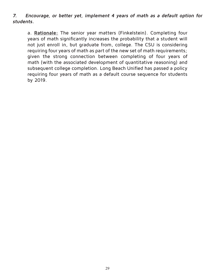#### **7. Encourage, or better yet, implement 4 years of math as a default option for students.**

a. **Rationale:** The senior year matters (Finkelstein). Completing four years of math significantly increases the probability that a student will not just enroll in, but graduate from, college. The CSU is considering requiring four years of math as part of the new set of math requirements; given the strong connection between completing of four years of math (with the associated development of quantitative reasoning) and subsequent college completion. Long Beach Unified has passed a policy requiring four years of math as a default course sequence for students by 2019.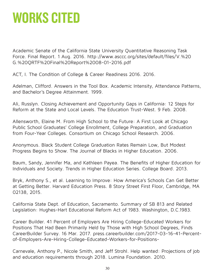### WORKS CITED

Academic Senate of the California State University Quantitative Reasoning Task Force. Final Report. 1 Aug. 2016. http://www.asccc.org/sites/default/files/V.%20 G.%20QRTF%20Final%20Report%2008-01-2016.pdf

ACT, I. The Condition of College & Career Readiness 2016. 2016.

Adelman, Clifford. Answers in the Tool Box. Academic Intensity, Attendance Patterns, and Bachelor's Degree Attainment. 1999.

Ali, Russlyn. Closing Achievement and Opportunity Gaps in California: 12 Steps for Reform at the State and Local Levels. The Education Trust-West. 9 Feb. 2008.

Allensworth, Elaine M. From High School to the Future: A First Look at Chicago Public School Graduates' College Enrollment, College Preparation, and Graduation from Four-Year Colleges. Consortium on Chicago School Research. 2006.

Anonymous. Black Student College Graduation Rates Remain Low, But Modest Progress Begins to Show. The Journal of Blacks in Higher Education. 2006.

Baum, Sandy, Jennifer Ma, and Kathleen Payea. The Benefits of Higher Education for Individuals and Society. Trends in Higher Education Series. College Board. 2013.

Bryk, Anthony S., et al. Learning to Improve: How America's Schools Can Get Better at Getting Better. Harvard Education Press. 8 Story Street First Floor, Cambridge, MA 02138, 2015.

California State Dept. of Education, Sacramento. Summary of SB 813 and Related Legislation: Hughes-Hart Educational Reform Act of 1983. Washington, D.C.1983.

Career Builder. 41 Percent of Employers Are Hiring College-Educated Workers for Positions That Had Been Primarily Held by Those with High School Degrees, Finds CareerBuilder Survey. 16 Mar. 2017. press.careerbuilder.com/2017-03-16-41-Percentof-Employers-Are-Hiring-College-Educated-Workers-for-Positions-

Carnevale, Anthony P., Nicole Smith, and Jeff Strohl. Help wanted: Projections of job and education requirements through 2018. Lumina Foundation. 2010.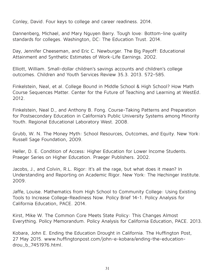Conley, David. Four keys to college and career readiness. 2014.

Dannenberg, Michael, and Mary Nguyen Barry. Tough love: Bottom-line quality standards for colleges. Washington, DC: The Education Trust. 2014.

Day, Jennifer Cheeseman, and Eric C. Newburger. The Big Payoff: Educational Attainment and Synthetic Estimates of Work-Life Earnings. 2002.

Elliott, William. Small-dollar children's savings accounts and children's college outcomes. Children and Youth Services Review 35.3. 2013. 572-585.

Finkelstein, Neal, et al. College Bound in Middle School & High School? How Math Course Sequences Matter. Center for the Future of Teaching and Learning at WestEd. 2012.

Finkelstein, Neal D., and Anthony B. Fong. Course-Taking Patterns and Preparation for Postsecondary Education in California's Public University Systems among Minority Youth. Regional Educational Laboratory West. 2008.

Grubb, W. N. The Money Myth: School Resources, Outcomes, and Equity. New York: Russell Sage Foundation, 2009.

Heller, D. E. Condition of Access: Higher Education for Lower Income Students. Praeger Series on Higher Education. Praeger Publishers. 2002.

Jacobs, J., and Colvin, R.L. Rigor: It's all the rage, but what does it mean? In Understanding and Reporting on Academic Rigor. New York: The Hechinger Institute. 2009.

Jaffe, Louise. Mathematics from High School to Community College: Using Existing Tools to Increase College-Readiness Now. Policy Brief 14-1. Policy Analysis for California Education, PACE. 2014.

Kirst, Mike W. The Common Core Meets State Policy: This Changes Almost Everything. Policy Memorandum. Policy Analysis for California Education, PACE. 2013.

Kobara, John E. Ending the Education Drought in California. The Huffington Post, 27 May 2015. www.huffingtonpost.com/john-e-kobara/ending-the-educationdrou\_b\_7451976.html.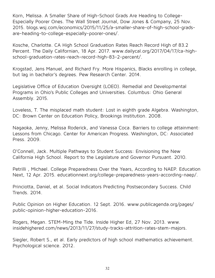Korn, Melissa. A Smaller Share of High-School Grads Are Heading to College-Especially Poorer Ones. The Wall Street Journal, Dow Jones & Company, 25 Nov. 2015. blogs.wsj.com/economics/2015/11/25/a-smaller-share-of-high-school-gradsare-heading-to-college-especially-poorer-ones/.

Kosche, Charlotte. CA High School Graduation Rates Reach Record High of 83.2 Percent. The Daily Californian, 18 Apr. 2017. www.dailycal.org/2017/04/17/ca-highschool-graduation-rates-reach-record-high-83-2-percent/.

Krogstad, Jens Manuel, and Richard Fry. More Hispanics, Blacks enrolling in college, but lag in bachelor's degrees. Pew Research Center. 2014.

Legislative Office of Education Oversight (LOEO). Remedial and Developmental Programs in Ohio's Public Colleges and Universities. Columbus: Ohio General Assembly. 2015.

Loveless, T. The misplaced math student: Lost in eighth grade Algebra. Washington, DC: Brown Center on Education Policy, Brookings Institution. 2008.

Nagaoka, Jenny, Melissa Roderick, and Vanessa Coca. Barriers to college attainment: Lessons from Chicago. Center for American Progress. Washington, DC: Associated Press. 2009.

O'Connell, Jack. Multiple Pathways to Student Success: Envisioning the New California High School. Report to the Legislature and Governor Pursuant. 2010.

Petrilli , Michael. College Preparedness Over the Years, According to NAEP. Education Next, 12 Apr. 2015. educationnext.org/college-preparedness-years-according-naep/.

Princiotta, Daniel, et al. Social Indicators Predicting Postsecondary Success. Child Trends. 2014.

Public Opinion on Higher Education. 12 Sept. 2016. www.publicagenda.org/pages/ public-opinion-higher-education-2016.

Rogers, Megan. STEM-Ming the Tide. Inside Higher Ed, 27 Nov. 2013. www. insidehighered.com/news/2013/11/27/study-tracks-attrition-rates-stem-majors.

Siegler, Robert S., et al. Early predictors of high school mathematics achievement. Psychological science. 2012.